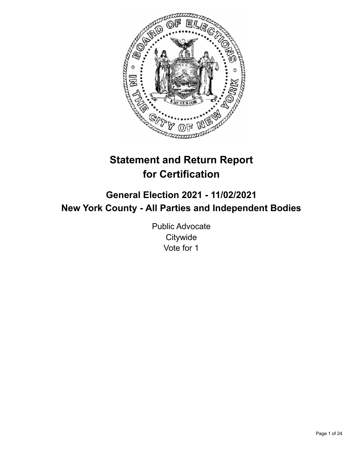

# **Statement and Return Report for Certification**

## **General Election 2021 - 11/02/2021 New York County - All Parties and Independent Bodies**

Public Advocate **Citywide** Vote for 1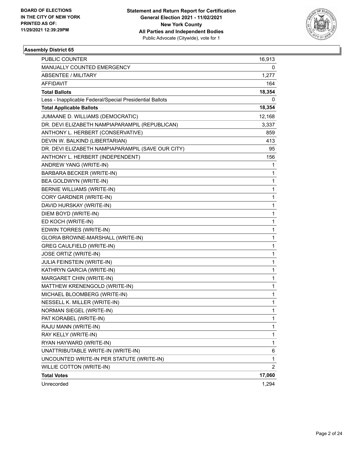

| <b>PUBLIC COUNTER</b>                                    | 16,913         |
|----------------------------------------------------------|----------------|
| MANUALLY COUNTED EMERGENCY                               | 0              |
| <b>ABSENTEE / MILITARY</b>                               | 1,277          |
| AFFIDAVIT                                                | 164            |
| <b>Total Ballots</b>                                     | 18,354         |
| Less - Inapplicable Federal/Special Presidential Ballots | 0              |
| <b>Total Applicable Ballots</b>                          | 18,354         |
| JUMAANE D. WILLIAMS (DEMOCRATIC)                         | 12,168         |
| DR. DEVI ELIZABETH NAMPIAPARAMPIL (REPUBLICAN)           | 3,337          |
| ANTHONY L. HERBERT (CONSERVATIVE)                        | 859            |
| DEVIN W. BALKIND (LIBERTARIAN)                           | 413            |
| DR. DEVI ELIZABETH NAMPIAPARAMPIL (SAVE OUR CITY)        | 95             |
| ANTHONY L. HERBERT (INDEPENDENT)                         | 156            |
| ANDREW YANG (WRITE-IN)                                   | 1              |
| BARBARA BECKER (WRITE-IN)                                | 1              |
| BEA GOLDWYN (WRITE-IN)                                   | 1              |
| <b>BERNIE WILLIAMS (WRITE-IN)</b>                        | 1              |
| CORY GARDNER (WRITE-IN)                                  | 1              |
| DAVID HURSKAY (WRITE-IN)                                 | 1              |
| DIEM BOYD (WRITE-IN)                                     | 1              |
| ED KOCH (WRITE-IN)                                       | 1              |
| EDWIN TORRES (WRITE-IN)                                  | 1              |
| GLORIA BROWNE-MARSHALL (WRITE-IN)                        | 1              |
| <b>GREG CAULFIELD (WRITE-IN)</b>                         | 1              |
| JOSE ORTIZ (WRITE-IN)                                    | 1              |
| JULIA FEINSTEIN (WRITE-IN)                               | 1              |
| KATHRYN GARCIA (WRITE-IN)                                | 1              |
| MARGARET CHIN (WRITE-IN)                                 | 1              |
| MATTHEW KRENENGOLD (WRITE-IN)                            | 1              |
| MICHAEL BLOOMBERG (WRITE-IN)                             | 1              |
| NESSELL K. MILLER (WRITE-IN)                             | 1              |
| NORMAN SIEGEL (WRITE-IN)                                 | 1              |
| PAT KORABEL (WRITE-IN)                                   | 1              |
| RAJU MANN (WRITE-IN)                                     | 1              |
| RAY KELLY (WRITE-IN)                                     | 1              |
| RYAN HAYWARD (WRITE-IN)                                  | 1              |
| UNATTRIBUTABLE WRITE-IN (WRITE-IN)                       | 6              |
| UNCOUNTED WRITE-IN PER STATUTE (WRITE-IN)                | $\mathbf{1}$   |
| <b>WILLIE COTTON (WRITE-IN)</b>                          | $\overline{2}$ |
| <b>Total Votes</b>                                       | 17,060         |
| Unrecorded                                               | 1,294          |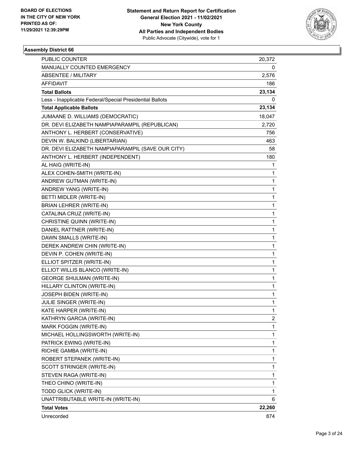

| <b>PUBLIC COUNTER</b>                                    | 20,372       |
|----------------------------------------------------------|--------------|
| MANUALLY COUNTED EMERGENCY                               | 0            |
| <b>ABSENTEE / MILITARY</b>                               | 2,576        |
| AFFIDAVIT                                                | 186          |
| <b>Total Ballots</b>                                     | 23,134       |
| Less - Inapplicable Federal/Special Presidential Ballots | 0            |
| <b>Total Applicable Ballots</b>                          | 23,134       |
| JUMAANE D. WILLIAMS (DEMOCRATIC)                         | 18,047       |
| DR. DEVI ELIZABETH NAMPIAPARAMPIL (REPUBLICAN)           | 2,720        |
| ANTHONY L. HERBERT (CONSERVATIVE)                        | 756          |
| DEVIN W. BALKIND (LIBERTARIAN)                           | 463          |
| DR. DEVI ELIZABETH NAMPIAPARAMPIL (SAVE OUR CITY)        | 58           |
| ANTHONY L. HERBERT (INDEPENDENT)                         | 180          |
| AL HAIG (WRITE-IN)                                       | 1            |
| ALEX COHEN-SMITH (WRITE-IN)                              | 1            |
| ANDREW GUTMAN (WRITE-IN)                                 | $\mathbf{1}$ |
| ANDREW YANG (WRITE-IN)                                   | $\mathbf{1}$ |
| BETTI MIDLER (WRITE-IN)                                  | 1            |
| BRIAN LEHRER (WRITE-IN)                                  | $\mathbf{1}$ |
| CATALINA CRUZ (WRITE-IN)                                 | $\mathbf{1}$ |
| CHRISTINE QUINN (WRITE-IN)                               | $\mathbf{1}$ |
| DANIEL RATTNER (WRITE-IN)                                | $\mathbf{1}$ |
| DAWN SMALLS (WRITE-IN)                                   | $\mathbf{1}$ |
| DEREK ANDREW CHIN (WRITE-IN)                             | 1            |
| DEVIN P. COHEN (WRITE-IN)                                | $\mathbf{1}$ |
| ELLIOT SPITZER (WRITE-IN)                                | $\mathbf{1}$ |
| ELLIOT WILLIS BLANCO (WRITE-IN)                          | $\mathbf{1}$ |
| <b>GEORGE SHULMAN (WRITE-IN)</b>                         | 1            |
| HILLARY CLINTON (WRITE-IN)                               | $\mathbf{1}$ |
| JOSEPH BIDEN (WRITE-IN)                                  | 1            |
| JULIE SINGER (WRITE-IN)                                  | 1            |
| KATE HARPER (WRITE-IN)                                   | 1            |
| KATHRYN GARCIA (WRITE-IN)                                | 2            |
| MARK FOGGIN (WRITE-IN)                                   | 1            |
| MICHAEL HOLLINGSWORTH (WRITE-IN)                         | $\mathbf{1}$ |
| PATRICK EWING (WRITE-IN)                                 | 1            |
| RICHIE GAMBA (WRITE-IN)                                  | $\mathbf{1}$ |
| ROBERT STEPANEK (WRITE-IN)                               | $\mathbf{1}$ |
| SCOTT STRINGER (WRITE-IN)                                | 1            |
| STEVEN RAGA (WRITE-IN)                                   | 1            |
| THEO CHINO (WRITE-IN)                                    | $\mathbf{1}$ |
| TODD GLICK (WRITE-IN)                                    | 1            |
| UNATTRIBUTABLE WRITE-IN (WRITE-IN)                       | 6            |
| <b>Total Votes</b>                                       | 22,260       |
| Unrecorded                                               | 874          |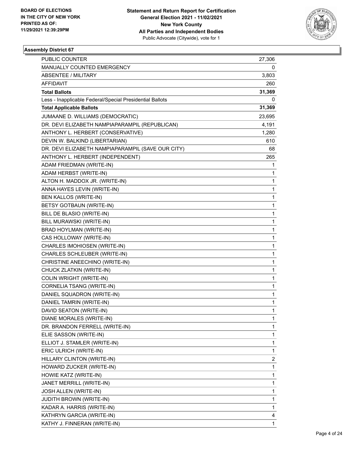

| PUBLIC COUNTER                                           | 27,306       |
|----------------------------------------------------------|--------------|
| MANUALLY COUNTED EMERGENCY                               | 0            |
| <b>ABSENTEE / MILITARY</b>                               | 3,803        |
| AFFIDAVIT                                                | 260          |
| <b>Total Ballots</b>                                     | 31,369       |
| Less - Inapplicable Federal/Special Presidential Ballots | 0            |
| <b>Total Applicable Ballots</b>                          | 31,369       |
| JUMAANE D. WILLIAMS (DEMOCRATIC)                         | 23,695       |
| DR. DEVI ELIZABETH NAMPIAPARAMPIL (REPUBLICAN)           | 4,191        |
| ANTHONY L. HERBERT (CONSERVATIVE)                        | 1,280        |
| DEVIN W. BALKIND (LIBERTARIAN)                           | 610          |
| DR. DEVI ELIZABETH NAMPIAPARAMPIL (SAVE OUR CITY)        | 68           |
| ANTHONY L. HERBERT (INDEPENDENT)                         | 265          |
| ADAM FRIEDMAN (WRITE-IN)                                 | 1            |
| ADAM HERBST (WRITE-IN)                                   | 1            |
| ALTON H. MADDOX JR. (WRITE-IN)                           | 1            |
| ANNA HAYES LEVIN (WRITE-IN)                              | 1            |
| BEN KALLOS (WRITE-IN)                                    | 1            |
| <b>BETSY GOTBAUN (WRITE-IN)</b>                          | $\mathbf{1}$ |
| BILL DE BLASIO (WRITE-IN)                                | 1            |
| BILL MURAWSKI (WRITE-IN)                                 | 1            |
| BRAD HOYLMAN (WRITE-IN)                                  | 1            |
| CAS HOLLOWAY (WRITE-IN)                                  | 1            |
| CHARLES IMOHIOSEN (WRITE-IN)                             | 1            |
| CHARLES SCHLEUBER (WRITE-IN)                             | 1            |
| CHRISTINE ANEECHINO (WRITE-IN)                           | 1            |
| CHUCK ZLATKIN (WRITE-IN)                                 | 1            |
| COLIN WRIGHT (WRITE-IN)                                  | 1            |
| CORNELIA TSANG (WRITE-IN)                                | 1            |
| DANIEL SQUADRON (WRITE-IN)                               | 1            |
| DANIEL TAMRIN (WRITE-IN)                                 | 1            |
| DAVID SEATON (WRITE-IN)                                  | $\mathbf{1}$ |
| DIANE MORALES (WRITE-IN)                                 | 1            |
| DR. BRANDON FERRELL (WRITE-IN)                           | 1            |
| ELIE SASSON (WRITE-IN)                                   | 1            |
| ELLIOT J. STAMLER (WRITE-IN)                             | 1            |
| ERIC ULRICH (WRITE-IN)                                   | 1            |
| HILLARY CLINTON (WRITE-IN)                               | 2            |
| HOWARD ZUCKER (WRITE-IN)                                 | 1            |
| HOWIE KATZ (WRITE-IN)                                    | 1            |
| JANET MERRILL (WRITE-IN)                                 | 1            |
| JOSH ALLEN (WRITE-IN)                                    | 1            |
| <b>JUDITH BROWN (WRITE-IN)</b>                           | 1            |
| KADAR A. HARRIS (WRITE-IN)                               | 1            |
| KATHRYN GARCIA (WRITE-IN)                                | 4            |
| KATHY J. FINNERAN (WRITE-IN)                             | 1            |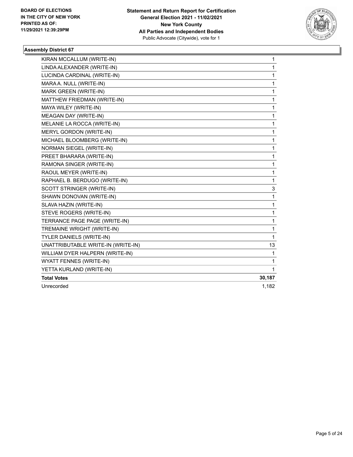

| KIRAN MCCALLUM (WRITE-IN)          | 1      |
|------------------------------------|--------|
| LINDA ALEXANDER (WRITE-IN)         | 1      |
| LUCINDA CARDINAL (WRITE-IN)        | 1      |
| MARA A. NULL (WRITE-IN)            | 1      |
| MARK GREEN (WRITE-IN)              | 1      |
| MATTHEW FRIEDMAN (WRITE-IN)        | 1      |
| MAYA WILEY (WRITE-IN)              | 1      |
| MEAGAN DAY (WRITE-IN)              | 1      |
| MELANIE LA ROCCA (WRITE-IN)        | 1      |
| MERYL GORDON (WRITE-IN)            | 1      |
| MICHAEL BLOOMBERG (WRITE-IN)       | 1      |
| <b>NORMAN SIEGEL (WRITE-IN)</b>    | 1      |
| PREET BHARARA (WRITE-IN)           | 1      |
| RAMONA SINGER (WRITE-IN)           | 1      |
| RAOUL MEYER (WRITE-IN)             | 1      |
| RAPHAEL B. BERDUGO (WRITE-IN)      | 1      |
| SCOTT STRINGER (WRITE-IN)          | 3      |
| SHAWN DONOVAN (WRITE-IN)           | 1      |
| SLAVA HAZIN (WRITE-IN)             | 1      |
| STEVE ROGERS (WRITE-IN)            | 1      |
| TERRANCE PAGE PAGE (WRITE-IN)      | 1      |
| TREMAINE WRIGHT (WRITE-IN)         | 1      |
| TYLER DANIELS (WRITE-IN)           | 1      |
| UNATTRIBUTABLE WRITE-IN (WRITE-IN) | 13     |
| WILLIAM DYER HALPERN (WRITE-IN)    | 1      |
| WYATT FENNES (WRITE-IN)            | 1      |
| YETTA KURLAND (WRITE-IN)           | 1      |
| <b>Total Votes</b>                 | 30,187 |
| Unrecorded                         | 1,182  |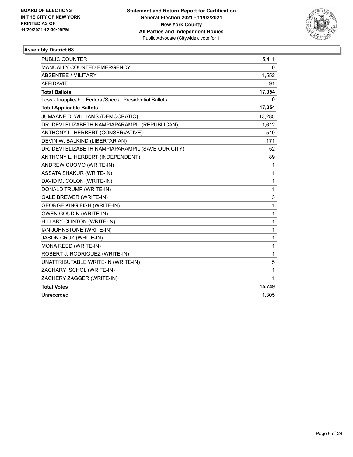

| <b>PUBLIC COUNTER</b>                                    | 15,411       |
|----------------------------------------------------------|--------------|
| MANUALLY COUNTED EMERGENCY                               | 0            |
| <b>ABSENTEE / MILITARY</b>                               | 1,552        |
| <b>AFFIDAVIT</b>                                         | 91           |
| <b>Total Ballots</b>                                     | 17,054       |
| Less - Inapplicable Federal/Special Presidential Ballots | 0            |
| <b>Total Applicable Ballots</b>                          | 17,054       |
| JUMAANE D. WILLIAMS (DEMOCRATIC)                         | 13,285       |
| DR. DEVI ELIZABETH NAMPIAPARAMPIL (REPUBLICAN)           | 1,612        |
| ANTHONY L. HERBERT (CONSERVATIVE)                        | 519          |
| DEVIN W. BALKIND (LIBERTARIAN)                           | 171          |
| DR. DEVI ELIZABETH NAMPIAPARAMPIL (SAVE OUR CITY)        | 52           |
| ANTHONY L. HERBERT (INDEPENDENT)                         | 89           |
| ANDREW CUOMO (WRITE-IN)                                  | 1            |
| <b>ASSATA SHAKUR (WRITE-IN)</b>                          | 1            |
| DAVID M. COLON (WRITE-IN)                                | 1            |
| DONALD TRUMP (WRITE-IN)                                  | 1            |
| <b>GALE BREWER (WRITE-IN)</b>                            | 3            |
| <b>GEORGE KING FISH (WRITE-IN)</b>                       | 1            |
| <b>GWEN GOUDIN (WRITE-IN)</b>                            | 1            |
| HILLARY CLINTON (WRITE-IN)                               | 1            |
| IAN JOHNSTONE (WRITE-IN)                                 | $\mathbf{1}$ |
| JASON CRUZ (WRITE-IN)                                    | 1            |
| MONA REED (WRITE-IN)                                     | 1            |
| ROBERT J. RODRIGUEZ (WRITE-IN)                           | 1            |
| UNATTRIBUTABLE WRITE-IN (WRITE-IN)                       | 5            |
| ZACHARY ISCHOL (WRITE-IN)                                | 1            |
| ZACHERY ZAGGER (WRITE-IN)                                | 1            |
| <b>Total Votes</b>                                       | 15,749       |
| Unrecorded                                               | 1,305        |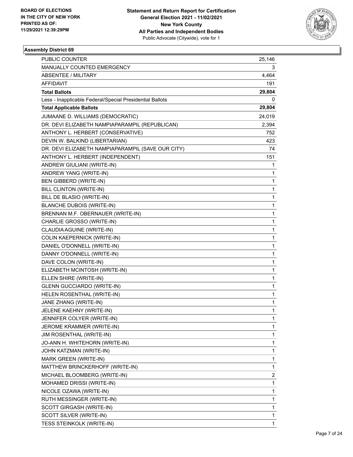

| PUBLIC COUNTER                                           | 25,146       |
|----------------------------------------------------------|--------------|
| MANUALLY COUNTED EMERGENCY                               | 3            |
| ABSENTEE / MILITARY                                      | 4,464        |
| AFFIDAVIT                                                | 191          |
| <b>Total Ballots</b>                                     | 29,804       |
| Less - Inapplicable Federal/Special Presidential Ballots | 0            |
| <b>Total Applicable Ballots</b>                          | 29,804       |
| JUMAANE D. WILLIAMS (DEMOCRATIC)                         | 24,019       |
| DR. DEVI ELIZABETH NAMPIAPARAMPIL (REPUBLICAN)           | 2,394        |
| ANTHONY L. HERBERT (CONSERVATIVE)                        | 752          |
| DEVIN W. BALKIND (LIBERTARIAN)                           | 423          |
| DR. DEVI ELIZABETH NAMPIAPARAMPIL (SAVE OUR CITY)        | 74           |
| ANTHONY L. HERBERT (INDEPENDENT)                         | 151          |
| ANDREW GIULIANI (WRITE-IN)                               | 1            |
| ANDREW YANG (WRITE-IN)                                   | 1            |
| BEN GIBBERD (WRITE-IN)                                   | 1            |
| <b>BILL CLINTON (WRITE-IN)</b>                           | 1            |
| BILL DE BLASIO (WRITE-IN)                                | 1            |
| <b>BLANCHE DUBOIS (WRITE-IN)</b>                         | 1            |
| BRENNAN M.F. OBERNAUER (WRITE-IN)                        | 1            |
| CHARLIE GROSSO (WRITE-IN)                                | 1            |
| CLAUDIA AGUINE (WRITE-IN)                                | 1            |
| COLIN KAEPERNICK (WRITE-IN)                              | 1            |
| DANIEL O'DONNELL (WRITE-IN)                              | 1            |
| DANNY O'DONNELL (WRITE-IN)                               | 1            |
| DAVE COLON (WRITE-IN)                                    | 1            |
| ELIZABETH MCINTOSH (WRITE-IN)                            | 1            |
| ELLEN SHIRE (WRITE-IN)                                   | 1            |
| <b>GLENN GUCCIARDO (WRITE-IN)</b>                        | 1            |
| HELEN ROSENTHAL (WRITE-IN)                               | 1            |
| JANE ZHANG (WRITE-IN)                                    | 1            |
| JELENE KAEHNY (WRITE-IN)                                 | $\mathbf{1}$ |
| JENNIFER COLYER (WRITE-IN)                               | 1            |
| JEROME KRAMMER (WRITE-IN)                                | 1            |
| JIM ROSENTHAL (WRITE-IN)                                 | 1            |
| JO-ANN H. WHITEHORN (WRITE-IN)                           | 1            |
| JOHN KATZMAN (WRITE-IN)                                  | 1            |
| MARK GREEN (WRITE-IN)                                    | 1            |
| MATTHEW BRINCKERHOFF (WRITE-IN)                          | 1            |
| MICHAEL BLOOMBERG (WRITE-IN)                             | 2            |
| MOHAMED DRISSI (WRITE-IN)                                | 1            |
| NICOLE OZAWA (WRITE-IN)                                  | 1            |
| RUTH MESSINGER (WRITE-IN)                                | 1            |
| SCOTT GIRGASH (WRITE-IN)                                 | 1            |
| SCOTT SILVER (WRITE-IN)                                  | 1            |
| TESS STEINKOLK (WRITE-IN)                                | 1            |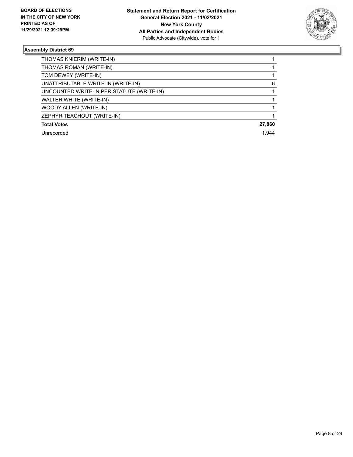

| THOMAS KNIERIM (WRITE-IN)                 |        |
|-------------------------------------------|--------|
| THOMAS ROMAN (WRITE-IN)                   |        |
| TOM DEWEY (WRITE-IN)                      |        |
| UNATTRIBUTABLE WRITE-IN (WRITE-IN)        | 6      |
| UNCOUNTED WRITE-IN PER STATUTE (WRITE-IN) |        |
| WALTER WHITE (WRITE-IN)                   |        |
| WOODY ALLEN (WRITE-IN)                    |        |
| ZEPHYR TEACHOUT (WRITE-IN)                |        |
| <b>Total Votes</b>                        | 27,860 |
| Unrecorded                                | 1.944  |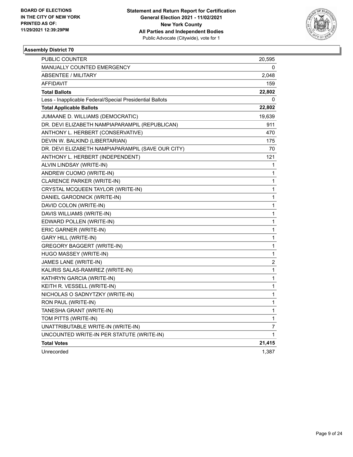

| PUBLIC COUNTER                                           | 20,595           |
|----------------------------------------------------------|------------------|
| <b>MANUALLY COUNTED EMERGENCY</b>                        | 0                |
| <b>ABSENTEE / MILITARY</b>                               | 2,048            |
| <b>AFFIDAVIT</b>                                         | 159              |
| <b>Total Ballots</b>                                     | 22,802           |
| Less - Inapplicable Federal/Special Presidential Ballots | 0                |
| <b>Total Applicable Ballots</b>                          | 22,802           |
| JUMAANE D. WILLIAMS (DEMOCRATIC)                         | 19,639           |
| DR. DEVI ELIZABETH NAMPIAPARAMPIL (REPUBLICAN)           | 911              |
| ANTHONY L. HERBERT (CONSERVATIVE)                        | 470              |
| DEVIN W. BALKIND (LIBERTARIAN)                           | 175              |
| DR. DEVI ELIZABETH NAMPIAPARAMPIL (SAVE OUR CITY)        | 70               |
| ANTHONY L. HERBERT (INDEPENDENT)                         | 121              |
| ALVIN LINDSAY (WRITE-IN)                                 | 1                |
| ANDREW CUOMO (WRITE-IN)                                  | 1                |
| CLARENCE PARKER (WRITE-IN)                               | 1                |
| CRYSTAL MCQUEEN TAYLOR (WRITE-IN)                        | 1                |
| DANIEL GARODNICK (WRITE-IN)                              | 1                |
| DAVID COLON (WRITE-IN)                                   | 1                |
| DAVIS WILLIAMS (WRITE-IN)                                | 1                |
| EDWARD POLLEN (WRITE-IN)                                 | 1                |
| ERIC GARNER (WRITE-IN)                                   | 1                |
| GARY HILL (WRITE-IN)                                     | 1                |
| GREGORY BAGGERT (WRITE-IN)                               | 1                |
| HUGO MASSEY (WRITE-IN)                                   | 1                |
| JAMES LANE (WRITE-IN)                                    | $\boldsymbol{2}$ |
| KALIRIS SALAS-RAMIREZ (WRITE-IN)                         | 1                |
| KATHRYN GARCIA (WRITE-IN)                                | 1                |
| KEITH R. VESSELL (WRITE-IN)                              | 1                |
| NICHOLAS O SADNYTZKY (WRITE-IN)                          | 1                |
| RON PAUL (WRITE-IN)                                      | 1                |
| TANESHA GRANT (WRITE-IN)                                 | 1                |
| TOM PITTS (WRITE-IN)                                     | 1                |
| UNATTRIBUTABLE WRITE-IN (WRITE-IN)                       | 7                |
| UNCOUNTED WRITE-IN PER STATUTE (WRITE-IN)                | 1                |
| <b>Total Votes</b>                                       | 21,415           |
| Unrecorded                                               | 1,387            |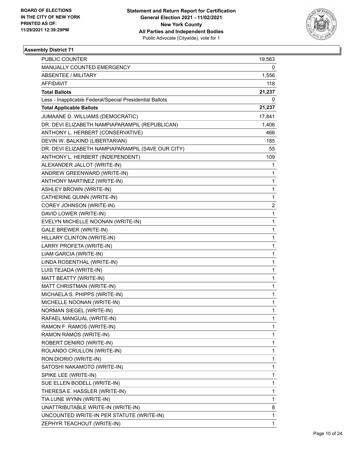

| PUBLIC COUNTER                                           | 19,563                  |
|----------------------------------------------------------|-------------------------|
| MANUALLY COUNTED EMERGENCY                               | 0                       |
| ABSENTEE / MILITARY                                      | 1,556                   |
| AFFIDAVIT                                                | 118                     |
| <b>Total Ballots</b>                                     | 21,237                  |
| Less - Inapplicable Federal/Special Presidential Ballots | 0                       |
| <b>Total Applicable Ballots</b>                          | 21,237                  |
| JUMAANE D. WILLIAMS (DEMOCRATIC)                         | 17,841                  |
| DR. DEVI ELIZABETH NAMPIAPARAMPIL (REPUBLICAN)           | 1,406                   |
| ANTHONY L. HERBERT (CONSERVATIVE)                        | 466                     |
| DEVIN W. BALKIND (LIBERTARIAN)                           | 185                     |
| DR. DEVI ELIZABETH NAMPIAPARAMPIL (SAVE OUR CITY)        | 55                      |
| ANTHONY L. HERBERT (INDEPENDENT)                         | 109                     |
| ALEXANDER JALLOT (WRITE-IN)                              | 1                       |
| ANDREW GREENWARD (WRITE-IN)                              | 1                       |
| ANTHONY MARTINEZ (WRITE-IN)                              | 1                       |
| <b>ASHLEY BROWN (WRITE-IN)</b>                           | 1                       |
| CATHERINE QUINN (WRITE-IN)                               | 1                       |
| COREY JOHNSON (WRITE-IN)                                 | $\overline{\mathbf{c}}$ |
| DAVID LOWER (WRITE-IN)                                   | 1                       |
| EVELYN MICHELLE NOONAN (WRITE-IN)                        | 1                       |
| <b>GALE BREWER (WRITE-IN)</b>                            | 1                       |
| HILLARY CLINTON (WRITE-IN)                               | 1                       |
| LARRY PROFETA (WRITE-IN)                                 | 1                       |
| LIAM GARCIA (WRITE-IN)                                   | 1                       |
| LINDA ROSENTHAL (WRITE-IN)                               | 1                       |
| LUIS TEJADA (WRITE-IN)                                   | 1                       |
| MATT BEATTY (WRITE-IN)                                   | 1                       |
| MATT CHRISTMAN (WRITE-IN)                                | 1                       |
| MICHAELA S. PHIPPS (WRITE-IN)                            | 1                       |
| MICHELLE NOONAN (WRITE-IN)                               | 1                       |
| NORMAN SIEGEL (WRITE-IN)                                 | 1                       |
| RAFAEL MANGUAL (WRITE-IN)                                | 1                       |
| RAMON F. RAMOS (WRITE-IN)                                | 1                       |
| RAMON RAMOS (WRITE-IN)                                   | 1                       |
| ROBERT DENIRO (WRITE-IN)                                 | 1                       |
| ROLANDO CRULLON (WRITE-IN)                               | 1                       |
| RON DIORIO (WRITE-IN)                                    | 1                       |
| SATOSHI NAKAMOTO (WRITE-IN)                              | 1                       |
| SPIKE LEE (WRITE-IN)                                     | 1                       |
| SUE ELLEN BODELL (WRITE-IN)                              | 1                       |
| THERESA E. HASSLER (WRITE-IN)                            | 1                       |
| TIA LUNE WYNN (WRITE-IN)                                 | 1                       |
| UNATTRIBUTABLE WRITE-IN (WRITE-IN)                       | 8                       |
| UNCOUNTED WRITE-IN PER STATUTE (WRITE-IN)                | 1                       |
| ZEPHYR TEACHOUT (WRITE-IN)                               | 1                       |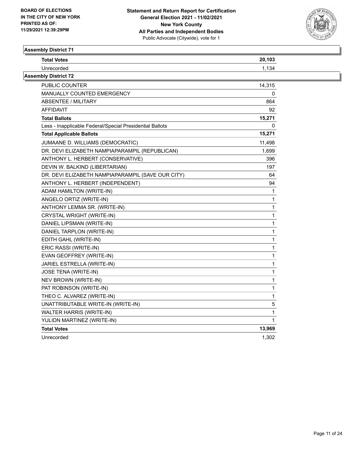

| <b>Total Votes</b>                                       | 20,103       |  |
|----------------------------------------------------------|--------------|--|
| Unrecorded                                               | 1,134        |  |
| <b>Assembly District 72</b>                              |              |  |
| PUBLIC COUNTER                                           | 14,315       |  |
| <b>MANUALLY COUNTED EMERGENCY</b>                        | 0            |  |
| <b>ABSENTEE / MILITARY</b>                               | 864          |  |
| <b>AFFIDAVIT</b>                                         | 92           |  |
| <b>Total Ballots</b>                                     | 15,271       |  |
| Less - Inapplicable Federal/Special Presidential Ballots | 0            |  |
| <b>Total Applicable Ballots</b>                          | 15,271       |  |
| JUMAANE D. WILLIAMS (DEMOCRATIC)                         | 11,498       |  |
| DR. DEVI ELIZABETH NAMPIAPARAMPIL (REPUBLICAN)           | 1,699        |  |
| ANTHONY L. HERBERT (CONSERVATIVE)                        | 396          |  |
| DEVIN W. BALKIND (LIBERTARIAN)                           | 197          |  |
| DR. DEVI ELIZABETH NAMPIAPARAMPIL (SAVE OUR CITY)        | 64           |  |
| ANTHONY L. HERBERT (INDEPENDENT)                         | 94           |  |
| ADAM HAMILTON (WRITE-IN)                                 | 1            |  |
| ANGELO ORTIZ (WRITE-IN)                                  | 1            |  |
| ANTHONY LEMMA SR. (WRITE-IN)                             | $\mathbf{1}$ |  |
| CRYSTAL WRIGHT (WRITE-IN)                                | 1            |  |
| DANIEL LIPSMAN (WRITE-IN)                                | 1            |  |
| DANIEL TARPLON (WRITE-IN)                                | 1            |  |
| EDITH GAHL (WRITE-IN)                                    | 1            |  |
| ERIC RASSI (WRITE-IN)                                    | 1            |  |
| EVAN GEOFFREY (WRITE-IN)                                 | 1            |  |
| JARIEL ESTRELLA (WRITE-IN)                               | 1            |  |
| JOSE TENA (WRITE-IN)                                     | 1            |  |
| NEV BROWN (WRITE-IN)                                     | 1            |  |
| PAT ROBINSON (WRITE-IN)                                  | 1            |  |
| THEO C. ALVAREZ (WRITE-IN)                               | 1            |  |
| UNATTRIBUTABLE WRITE-IN (WRITE-IN)                       | 5            |  |
| WALTER HARRIS (WRITE-IN)                                 | 1            |  |
| YULIDN MARTINEZ (WRITE-IN)                               | $\mathbf{1}$ |  |
| <b>Total Votes</b>                                       | 13,969       |  |
| Unrecorded                                               | 1,302        |  |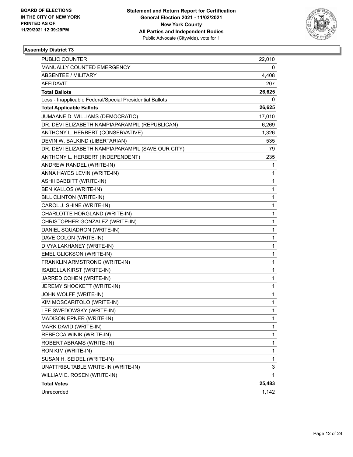

| <b>PUBLIC COUNTER</b>                                    | 22,010 |
|----------------------------------------------------------|--------|
| MANUALLY COUNTED EMERGENCY                               | 0      |
| <b>ABSENTEE / MILITARY</b>                               | 4,408  |
| AFFIDAVIT                                                | 207    |
| <b>Total Ballots</b>                                     | 26,625 |
| Less - Inapplicable Federal/Special Presidential Ballots | 0      |
| <b>Total Applicable Ballots</b>                          | 26,625 |
| JUMAANE D. WILLIAMS (DEMOCRATIC)                         | 17,010 |
| DR. DEVI ELIZABETH NAMPIAPARAMPIL (REPUBLICAN)           | 6,269  |
| ANTHONY L. HERBERT (CONSERVATIVE)                        | 1,326  |
| DEVIN W. BALKIND (LIBERTARIAN)                           | 535    |
| DR. DEVI ELIZABETH NAMPIAPARAMPIL (SAVE OUR CITY)        | 79     |
| ANTHONY L. HERBERT (INDEPENDENT)                         | 235    |
| ANDREW RANDEL (WRITE-IN)                                 | 1      |
| ANNA HAYES LEVIN (WRITE-IN)                              | 1      |
| ASHII BABBITT (WRITE-IN)                                 | 1      |
| <b>BEN KALLOS (WRITE-IN)</b>                             | 1      |
| <b>BILL CLINTON (WRITE-IN)</b>                           | 1      |
| CAROL J. SHINE (WRITE-IN)                                | 1      |
| CHARLOTTE HORGLAND (WRITE-IN)                            | 1      |
| CHRISTOPHER GONZALEZ (WRITE-IN)                          | 1      |
| DANIEL SQUADRON (WRITE-IN)                               | 1      |
| DAVE COLON (WRITE-IN)                                    | 1      |
| DIVYA LAKHANEY (WRITE-IN)                                | 1      |
| EMEL GLICKSON (WRITE-IN)                                 | 1      |
| FRANKLIN ARMSTRONG (WRITE-IN)                            | 1      |
| ISABELLA KIRST (WRITE-IN)                                | 1      |
| JARRED COHEN (WRITE-IN)                                  | 1      |
| JEREMY SHOCKETT (WRITE-IN)                               | 1      |
| JOHN WOLFF (WRITE-IN)                                    | 1      |
| KIM MOSCARITOLO (WRITE-IN)                               | 1      |
| LEE SWEDOWSKY (WRITE-IN)                                 | 1      |
| MADISON EPNER (WRITE-IN)                                 | 1      |
| MARK DAVID (WRITE-IN)                                    | 1      |
| REBECCA WINIK (WRITE-IN)                                 | 1      |
| ROBERT ABRAMS (WRITE-IN)                                 | 1      |
| RON KIM (WRITE-IN)                                       | 1      |
| SUSAN H. SEIDEL (WRITE-IN)                               | 1      |
| UNATTRIBUTABLE WRITE-IN (WRITE-IN)                       | 3      |
| WILLIAM E. ROSEN (WRITE-IN)                              | 1      |
| <b>Total Votes</b>                                       | 25,483 |
| Unrecorded                                               | 1,142  |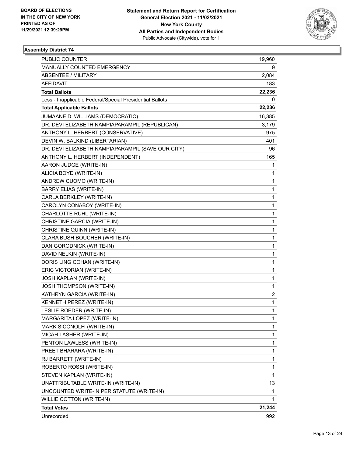

| PUBLIC COUNTER                                           | 19,960       |
|----------------------------------------------------------|--------------|
| MANUALLY COUNTED EMERGENCY                               | 9            |
| <b>ABSENTEE / MILITARY</b>                               | 2,084        |
| AFFIDAVIT                                                | 183          |
| <b>Total Ballots</b>                                     | 22,236       |
| Less - Inapplicable Federal/Special Presidential Ballots | 0            |
| <b>Total Applicable Ballots</b>                          | 22,236       |
| JUMAANE D. WILLIAMS (DEMOCRATIC)                         | 16,385       |
| DR. DEVI ELIZABETH NAMPIAPARAMPIL (REPUBLICAN)           | 3,179        |
| ANTHONY L. HERBERT (CONSERVATIVE)                        | 975          |
| DEVIN W. BALKIND (LIBERTARIAN)                           | 401          |
| DR. DEVI ELIZABETH NAMPIAPARAMPIL (SAVE OUR CITY)        | 96           |
| ANTHONY L. HERBERT (INDEPENDENT)                         | 165          |
| AARON JUDGE (WRITE-IN)                                   | 1            |
| ALICIA BOYD (WRITE-IN)                                   | $\mathbf{1}$ |
| ANDREW CUOMO (WRITE-IN)                                  | $\mathbf{1}$ |
| <b>BARRY ELIAS (WRITE-IN)</b>                            | 1            |
| CARLA BERKLEY (WRITE-IN)                                 | $\mathbf{1}$ |
| CAROLYN CONABOY (WRITE-IN)                               | $\mathbf{1}$ |
| CHARLOTTE RUHL (WRITE-IN)                                | $\mathbf 1$  |
| CHRISTINE GARCIA (WRITE-IN)                              | $\mathbf{1}$ |
| CHRISTINE QUINN (WRITE-IN)                               | $\mathbf 1$  |
| CLARA BUSH BOUCHER (WRITE-IN)                            | 1            |
| DAN GORODNICK (WRITE-IN)                                 | $\mathbf{1}$ |
| DAVID NELKIN (WRITE-IN)                                  | $\mathbf{1}$ |
| DORIS LING COHAN (WRITE-IN)                              | 1            |
| ERIC VICTORIAN (WRITE-IN)                                | $\mathbf{1}$ |
| JOSH KAPLAN (WRITE-IN)                                   | $\mathbf{1}$ |
| <b>JOSH THOMPSON (WRITE-IN)</b>                          | 1            |
| KATHRYN GARCIA (WRITE-IN)                                | 2            |
| KENNETH PEREZ (WRITE-IN)                                 | $\mathbf{1}$ |
| LESLIE ROEDER (WRITE-IN)                                 | $\mathbf{1}$ |
| MARGARITA LOPEZ (WRITE-IN)                               | $\mathbf{1}$ |
| MARK SICONOLFI (WRITE-IN)                                | 1            |
| MICAH LASHER (WRITE-IN)                                  | 1            |
| PENTON LAWLESS (WRITE-IN)                                | $\mathbf{1}$ |
| PREET BHARARA (WRITE-IN)                                 | $\mathbf{1}$ |
| RJ BARRETT (WRITE-IN)                                    | 1            |
| ROBERTO ROSSI (WRITE-IN)                                 | 1            |
| STEVEN KAPLAN (WRITE-IN)                                 | 1            |
| UNATTRIBUTABLE WRITE-IN (WRITE-IN)                       | 13           |
| UNCOUNTED WRITE-IN PER STATUTE (WRITE-IN)                | 1            |
| WILLIE COTTON (WRITE-IN)                                 | 1            |
| <b>Total Votes</b>                                       | 21,244       |
| Unrecorded                                               | 992          |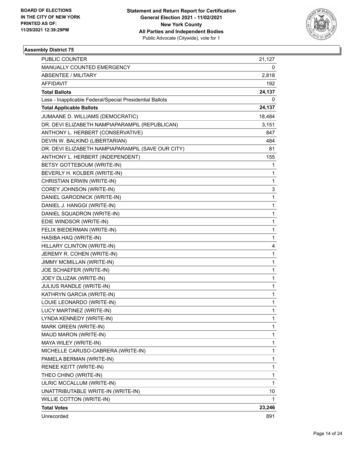

| PUBLIC COUNTER                                           | 21,127       |
|----------------------------------------------------------|--------------|
| MANUALLY COUNTED EMERGENCY                               | 0            |
| <b>ABSENTEE / MILITARY</b>                               | 2,818        |
| AFFIDAVIT                                                | 192          |
| <b>Total Ballots</b>                                     | 24,137       |
| Less - Inapplicable Federal/Special Presidential Ballots | 0            |
| <b>Total Applicable Ballots</b>                          | 24,137       |
| JUMAANE D. WILLIAMS (DEMOCRATIC)                         | 18,484       |
| DR. DEVI ELIZABETH NAMPIAPARAMPIL (REPUBLICAN)           | 3,151        |
| ANTHONY L. HERBERT (CONSERVATIVE)                        | 847          |
| DEVIN W. BALKIND (LIBERTARIAN)                           | 484          |
| DR. DEVI ELIZABETH NAMPIAPARAMPIL (SAVE OUR CITY)        | 81           |
| ANTHONY L. HERBERT (INDEPENDENT)                         | 155          |
| BETSY GOTTEBOUM (WRITE-IN)                               | 1            |
| BEVERLY H. KOLBER (WRITE-IN)                             | $\mathbf{1}$ |
| CHRISTIAN ERWIN (WRITE-IN)                               | $\mathbf{1}$ |
| COREY JOHNSON (WRITE-IN)                                 | 3            |
| DANIEL GARODNICK (WRITE-IN)                              | $\mathbf{1}$ |
| DANIEL J. HANGGI (WRITE-IN)                              | 1            |
| DANIEL SQUADRON (WRITE-IN)                               | $\mathbf{1}$ |
| EDIE WINDSOR (WRITE-IN)                                  | $\mathbf{1}$ |
| FELIX BIEDERMAN (WRITE-IN)                               | 1            |
| HASIBA HAQ (WRITE-IN)                                    | 1            |
| HILLARY CLINTON (WRITE-IN)                               | 4            |
| JEREMY R. COHEN (WRITE-IN)                               | 1            |
| JIMMY MCMILLAN (WRITE-IN)                                | $\mathbf{1}$ |
| JOE SCHAEFER (WRITE-IN)                                  | $\mathbf{1}$ |
| JOEY DLUZAK (WRITE-IN)                                   | 1            |
| JULIUS RANDLE (WRITE-IN)                                 | 1            |
| KATHRYN GARCIA (WRITE-IN)                                | $\mathbf{1}$ |
| LOUIE LEONARDO (WRITE-IN)                                | 1            |
| LUCY MARTINEZ (WRITE-IN)                                 | $\mathbf{1}$ |
| LYNDA KENNEDY (WRITE-IN)                                 | 1            |
| MARK GREEN (WRITE-IN)                                    | 1            |
| MAUD MARON (WRITE-IN)                                    | $\mathbf{1}$ |
| MAYA WILEY (WRITE-IN)                                    | $\mathbf{1}$ |
| MICHELLE CARUSO-CABRERA (WRITE-IN)                       | 1            |
| PAMELA BERMAN (WRITE-IN)                                 | $\mathbf{1}$ |
| RENEE KEITT (WRITE-IN)                                   | 1            |
| THEO CHINO (WRITE-IN)                                    | 1            |
| ULRIC MCCALLUM (WRITE-IN)                                | $\mathbf{1}$ |
| UNATTRIBUTABLE WRITE-IN (WRITE-IN)                       | 10           |
| WILLIE COTTON (WRITE-IN)                                 | 1            |
| <b>Total Votes</b>                                       | 23,246       |
| Unrecorded                                               | 891          |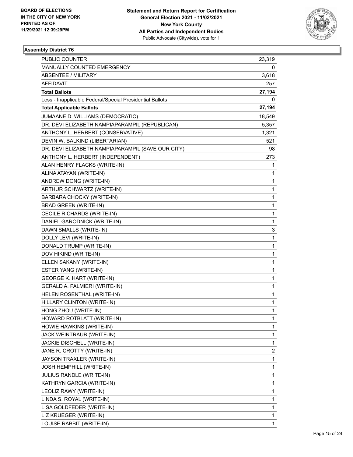

| PUBLIC COUNTER                                           | 23,319       |
|----------------------------------------------------------|--------------|
| MANUALLY COUNTED EMERGENCY                               | 0            |
| <b>ABSENTEE / MILITARY</b>                               | 3,618        |
| AFFIDAVIT                                                | 257          |
| <b>Total Ballots</b>                                     | 27,194       |
| Less - Inapplicable Federal/Special Presidential Ballots | 0            |
| <b>Total Applicable Ballots</b>                          | 27,194       |
| JUMAANE D. WILLIAMS (DEMOCRATIC)                         | 18,549       |
| DR. DEVI ELIZABETH NAMPIAPARAMPIL (REPUBLICAN)           | 5,357        |
| ANTHONY L. HERBERT (CONSERVATIVE)                        | 1,321        |
| DEVIN W. BALKIND (LIBERTARIAN)                           | 521          |
| DR. DEVI ELIZABETH NAMPIAPARAMPIL (SAVE OUR CITY)        | 98           |
| ANTHONY L. HERBERT (INDEPENDENT)                         | 273          |
| ALAN HENRY FLACKS (WRITE-IN)                             | 1            |
| ALINA ATAYAN (WRITE-IN)                                  | 1            |
| ANDREW DONG (WRITE-IN)                                   | 1            |
| ARTHUR SCHWARTZ (WRITE-IN)                               | 1            |
| BARBARA CHOCKY (WRITE-IN)                                | 1            |
| <b>BRAD GREEN (WRITE-IN)</b>                             | 1            |
| CECILE RICHARDS (WRITE-IN)                               | 1            |
| DANIEL GARODNICK (WRITE-IN)                              | 1            |
| DAWN SMALLS (WRITE-IN)                                   | 3            |
| DOLLY LEVI (WRITE-IN)                                    | 1            |
| DONALD TRUMP (WRITE-IN)                                  | 1            |
| DOV HIKIND (WRITE-IN)                                    | 1            |
| ELLEN SAKANY (WRITE-IN)                                  | 1            |
| ESTER YANG (WRITE-IN)                                    | 1            |
| <b>GEORGE K. HART (WRITE-IN)</b>                         | 1            |
| GERALD A. PALMIERI (WRITE-IN)                            | 1            |
| HELEN ROSENTHAL (WRITE-IN)                               | 1            |
| HILLARY CLINTON (WRITE-IN)                               | 1            |
| HONG ZHOU (WRITE-IN)                                     | 1            |
| HOWARD ROTBLATT (WRITE-IN)                               | 1            |
| HOWIE HAWKINS (WRITE-IN)                                 | 1            |
| JACK WEINTRAUB (WRITE-IN)                                | 1            |
| JACKIE DISCHELL (WRITE-IN)                               | $\mathbf{1}$ |
| JANE R. CROTTY (WRITE-IN)                                | 2            |
| JAYSON TRAXLER (WRITE-IN)                                | 1            |
| JOSH HEMPHILL (WRITE-IN)                                 | 1            |
| JULIUS RANDLE (WRITE-IN)                                 | 1            |
| KATHRYN GARCIA (WRITE-IN)                                | 1            |
| LEOLIZ RAWY (WRITE-IN)                                   | 1            |
| LINDA S. ROYAL (WRITE-IN)                                | 1            |
| LISA GOLDFEDER (WRITE-IN)                                | 1            |
| LIZ KRUEGER (WRITE-IN)                                   | 1            |
| LOUISE RABBIT (WRITE-IN)                                 | 1            |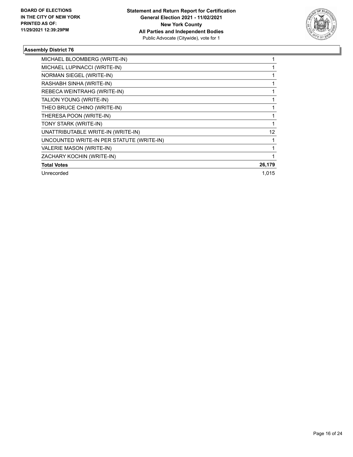

| MICHAEL BLOOMBERG (WRITE-IN)              |        |
|-------------------------------------------|--------|
| MICHAEL LUPINACCI (WRITE-IN)              |        |
| NORMAN SIEGEL (WRITE-IN)                  |        |
| RASHABH SINHA (WRITE-IN)                  |        |
| REBECA WEINTRAHG (WRITE-IN)               |        |
| TALION YOUNG (WRITE-IN)                   |        |
| THEO BRUCE CHINO (WRITE-IN)               |        |
| THERESA POON (WRITE-IN)                   |        |
| TONY STARK (WRITE-IN)                     |        |
| UNATTRIBUTABLE WRITE-IN (WRITE-IN)        | 12     |
| UNCOUNTED WRITE-IN PER STATUTE (WRITE-IN) |        |
| VALERIE MASON (WRITE-IN)                  |        |
| ZACHARY KOCHIN (WRITE-IN)                 |        |
| <b>Total Votes</b>                        | 26,179 |
| Unrecorded                                | 1.015  |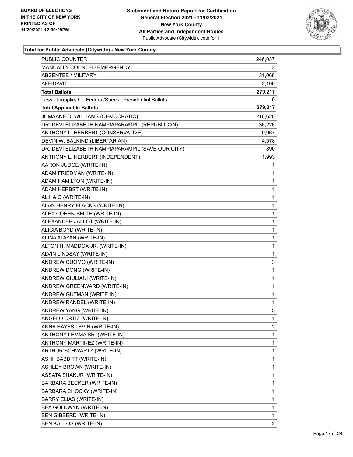

| <b>PUBLIC COUNTER</b>                                    | 246,037 |
|----------------------------------------------------------|---------|
| MANUALLY COUNTED EMERGENCY                               | 12      |
| <b>ABSENTEE / MILITARY</b>                               | 31,068  |
| <b>AFFIDAVIT</b>                                         | 2,100   |
| <b>Total Ballots</b>                                     | 279,217 |
| Less - Inapplicable Federal/Special Presidential Ballots | 0       |
| <b>Total Applicable Ballots</b>                          | 279,217 |
| JUMAANE D. WILLIAMS (DEMOCRATIC)                         | 210,620 |
| DR. DEVI ELIZABETH NAMPIAPARAMPIL (REPUBLICAN)           | 36,226  |
| ANTHONY L. HERBERT (CONSERVATIVE)                        | 9,967   |
| DEVIN W. BALKIND (LIBERTARIAN)                           | 4,578   |
| DR. DEVI ELIZABETH NAMPIAPARAMPIL (SAVE OUR CITY)        | 890     |
| ANTHONY L. HERBERT (INDEPENDENT)                         | 1,993   |
| AARON JUDGE (WRITE-IN)                                   | 1       |
| ADAM FRIEDMAN (WRITE-IN)                                 | 1       |
| ADAM HAMILTON (WRITE-IN)                                 | 1       |
| ADAM HERBST (WRITE-IN)                                   | 1       |
| AL HAIG (WRITE-IN)                                       | 1       |
| ALAN HENRY FLACKS (WRITE-IN)                             | 1       |
| ALEX COHEN-SMITH (WRITE-IN)                              | 1       |
| ALEXANDER JALLOT (WRITE-IN)                              | 1       |
| ALICIA BOYD (WRITE-IN)                                   | 1       |
| ALINA ATAYAN (WRITE-IN)                                  | 1       |
| ALTON H. MADDOX JR. (WRITE-IN)                           | 1       |
| ALVIN LINDSAY (WRITE-IN)                                 | 1       |
| ANDREW CUOMO (WRITE-IN)                                  | 3       |
| ANDREW DONG (WRITE-IN)                                   | 1       |
| ANDREW GIULIANI (WRITE-IN)                               | 1       |
| ANDREW GREENWARD (WRITE-IN)                              | 1       |
| ANDREW GUTMAN (WRITE-IN)                                 | 1       |
| ANDREW RANDEL (WRITE-IN)                                 | 1       |
| ANDREW YANG (WRITE-IN)                                   | 3       |
| ANGELO ORTIZ (WRITE-IN)                                  | 1       |
| ANNA HAYES LEVIN (WRITE-IN)                              | 2       |
| ANTHONY LEMMA SR. (WRITE-IN)                             | 1       |
| ANTHONY MARTINEZ (WRITE-IN)                              | 1       |
| ARTHUR SCHWARTZ (WRITE-IN)                               | 1       |
| ASHII BABBITT (WRITE-IN)                                 | 1       |
| <b>ASHLEY BROWN (WRITE-IN)</b>                           | 1       |
| ASSATA SHAKUR (WRITE-IN)                                 | 1       |
| BARBARA BECKER (WRITE-IN)                                | 1       |
| BARBARA CHOCKY (WRITE-IN)                                | 1       |
| <b>BARRY ELIAS (WRITE-IN)</b>                            | 1       |
| BEA GOLDWYN (WRITE-IN)                                   | 1       |
| BEN GIBBERD (WRITE-IN)                                   | 1       |
| BEN KALLOS (WRITE-IN)                                    | 2       |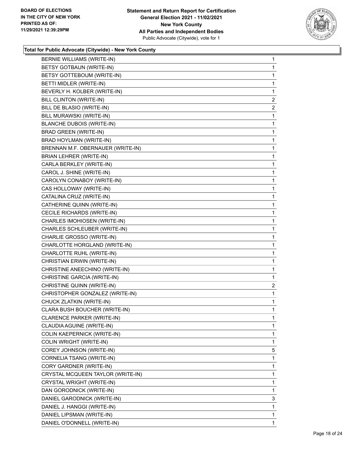

| BERNIE WILLIAMS (WRITE-IN)        | 1                       |
|-----------------------------------|-------------------------|
| BETSY GOTBAUN (WRITE-IN)          | 1                       |
| BETSY GOTTEBOUM (WRITE-IN)        | 1                       |
| BETTI MIDLER (WRITE-IN)           | 1                       |
| BEVERLY H. KOLBER (WRITE-IN)      | 1                       |
| BILL CLINTON (WRITE-IN)           | $\overline{2}$          |
| BILL DE BLASIO (WRITE-IN)         | $\overline{2}$          |
| BILL MURAWSKI (WRITE-IN)          | 1                       |
| <b>BLANCHE DUBOIS (WRITE-IN)</b>  | 1                       |
| <b>BRAD GREEN (WRITE-IN)</b>      | 1                       |
| BRAD HOYLMAN (WRITE-IN)           | 1                       |
| BRENNAN M.F. OBERNAUER (WRITE-IN) | 1                       |
| <b>BRIAN LEHRER (WRITE-IN)</b>    | 1                       |
| CARLA BERKLEY (WRITE-IN)          | 1                       |
| CAROL J. SHINE (WRITE-IN)         | 1                       |
| CAROLYN CONABOY (WRITE-IN)        | 1                       |
| CAS HOLLOWAY (WRITE-IN)           | 1                       |
| CATALINA CRUZ (WRITE-IN)          | 1                       |
| CATHERINE QUINN (WRITE-IN)        | 1                       |
| CECILE RICHARDS (WRITE-IN)        | 1                       |
| CHARLES IMOHIOSEN (WRITE-IN)      | 1                       |
| CHARLES SCHLEUBER (WRITE-IN)      | 1                       |
| CHARLIE GROSSO (WRITE-IN)         | 1                       |
| CHARLOTTE HORGLAND (WRITE-IN)     | 1                       |
| CHARLOTTE RUHL (WRITE-IN)         | 1                       |
| CHRISTIAN ERWIN (WRITE-IN)        | 1                       |
| CHRISTINE ANEECHINO (WRITE-IN)    | 1                       |
| CHRISTINE GARCIA (WRITE-IN)       | 1                       |
| CHRISTINE QUINN (WRITE-IN)        | $\overline{\mathbf{c}}$ |
| CHRISTOPHER GONZALEZ (WRITE-IN)   | $\mathbf{1}$            |
| CHUCK ZLATKIN (WRITE-IN)          | 1                       |
| CLARA BUSH BOUCHER (WRITE-IN)     | 1                       |
| CLARENCE PARKER (WRITE-IN)        | 1                       |
| CLAUDIA AGUINE (WRITE-IN)         | 1                       |
| COLIN KAEPERNICK (WRITE-IN)       | 1                       |
| COLIN WRIGHT (WRITE-IN)           | 1                       |
| COREY JOHNSON (WRITE-IN)          | 5                       |
| CORNELIA TSANG (WRITE-IN)         | 1                       |
| CORY GARDNER (WRITE-IN)           | 1                       |
| CRYSTAL MCQUEEN TAYLOR (WRITE-IN) | 1                       |
| CRYSTAL WRIGHT (WRITE-IN)         | 1                       |
| DAN GORODNICK (WRITE-IN)          | 1                       |
| DANIEL GARODNICK (WRITE-IN)       | 3                       |
| DANIEL J. HANGGI (WRITE-IN)       | 1                       |
| DANIEL LIPSMAN (WRITE-IN)         | 1                       |
| DANIEL O'DONNELL (WRITE-IN)       | 1                       |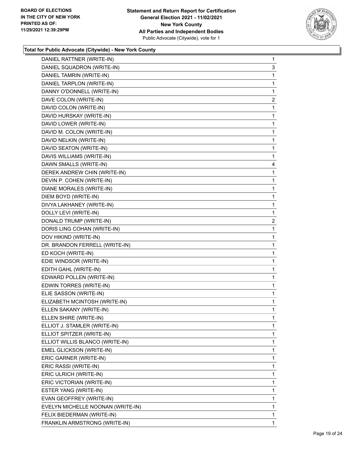

| DANIEL RATTNER (WRITE-IN)         | 1              |
|-----------------------------------|----------------|
| DANIEL SQUADRON (WRITE-IN)        | 3              |
| DANIEL TAMRIN (WRITE-IN)          | 1              |
| DANIEL TARPLON (WRITE-IN)         | 1              |
| DANNY O'DONNELL (WRITE-IN)        | 1              |
| DAVE COLON (WRITE-IN)             | 2              |
| DAVID COLON (WRITE-IN)            | 1              |
| DAVID HURSKAY (WRITE-IN)          | 1              |
| DAVID LOWER (WRITE-IN)            | 1              |
| DAVID M. COLON (WRITE-IN)         | 1              |
| DAVID NELKIN (WRITE-IN)           | 1              |
| DAVID SEATON (WRITE-IN)           | 1              |
| DAVIS WILLIAMS (WRITE-IN)         | 1              |
| DAWN SMALLS (WRITE-IN)            | 4              |
| DEREK ANDREW CHIN (WRITE-IN)      | 1              |
| DEVIN P. COHEN (WRITE-IN)         | 1              |
| DIANE MORALES (WRITE-IN)          | 1              |
| DIEM BOYD (WRITE-IN)              | 1              |
| DIVYA LAKHANEY (WRITE-IN)         | 1              |
| DOLLY LEVI (WRITE-IN)             | 1              |
| DONALD TRUMP (WRITE-IN)           | $\overline{c}$ |
| DORIS LING COHAN (WRITE-IN)       | 1              |
| DOV HIKIND (WRITE-IN)             | 1              |
|                                   |                |
| DR. BRANDON FERRELL (WRITE-IN)    | 1              |
| ED KOCH (WRITE-IN)                | 1              |
| EDIE WINDSOR (WRITE-IN)           | 1              |
| EDITH GAHL (WRITE-IN)             | 1              |
| EDWARD POLLEN (WRITE-IN)          | 1              |
| EDWIN TORRES (WRITE-IN)           | $\mathbf{1}$   |
| ELIE SASSON (WRITE-IN)            | 1              |
| ELIZABETH MCINTOSH (WRITE-IN)     | 1              |
| ELLEN SAKANY (WRITE-IN)           | 1              |
| ELLEN SHIRE (WRITE-IN)            | 1              |
| ELLIOT J. STAMLER (WRITE-IN)      | 1              |
| ELLIOT SPITZER (WRITE-IN)         | 1              |
| ELLIOT WILLIS BLANCO (WRITE-IN)   | 1              |
| EMEL GLICKSON (WRITE-IN)          | 1              |
| ERIC GARNER (WRITE-IN)            | 1              |
| ERIC RASSI (WRITE-IN)             | 1              |
| ERIC ULRICH (WRITE-IN)            | 1              |
| ERIC VICTORIAN (WRITE-IN)         | 1              |
| ESTER YANG (WRITE-IN)             | 1              |
| EVAN GEOFFREY (WRITE-IN)          | 1              |
| EVELYN MICHELLE NOONAN (WRITE-IN) | 1              |
| FELIX BIEDERMAN (WRITE-IN)        | 1              |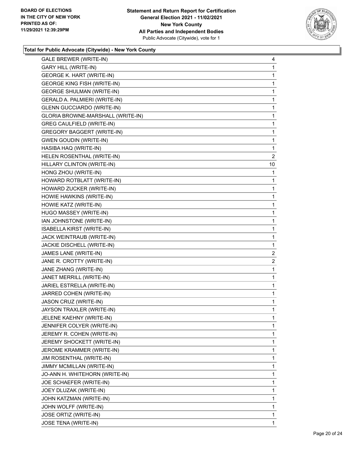

| <b>GARY HILL (WRITE-IN)</b><br><b>GEORGE K. HART (WRITE-IN)</b><br><b>GEORGE KING FISH (WRITE-IN)</b><br><b>GEORGE SHULMAN (WRITE-IN)</b><br>GERALD A. PALMIERI (WRITE-IN)<br><b>GLENN GUCCIARDO (WRITE-IN)</b><br>GLORIA BROWNE-MARSHALL (WRITE-IN)<br>GREG CAULFIELD (WRITE-IN)<br><b>GREGORY BAGGERT (WRITE-IN)</b><br><b>GWEN GOUDIN (WRITE-IN)</b><br>HASIBA HAQ (WRITE-IN)<br>HELEN ROSENTHAL (WRITE-IN)<br>HILLARY CLINTON (WRITE-IN)<br>HONG ZHOU (WRITE-IN)<br>HOWARD ROTBLATT (WRITE-IN)<br>HOWARD ZUCKER (WRITE-IN)<br>HOWIE HAWKINS (WRITE-IN)<br>HOWIE KATZ (WRITE-IN)<br>HUGO MASSEY (WRITE-IN)<br>IAN JOHNSTONE (WRITE-IN)<br>ISABELLA KIRST (WRITE-IN)<br>JACK WEINTRAUB (WRITE-IN)<br>JACKIE DISCHELL (WRITE-IN)<br>JAMES LANE (WRITE-IN)<br>JANE R. CROTTY (WRITE-IN)<br>JANE ZHANG (WRITE-IN)<br>JANET MERRILL (WRITE-IN)<br>JARIEL ESTRELLA (WRITE-IN)<br>JARRED COHEN (WRITE-IN)<br>JASON CRUZ (WRITE-IN)<br>JAYSON TRAXLER (WRITE-IN)<br>JELENE KAEHNY (WRITE-IN)<br>JENNIFER COLYER (WRITE-IN)<br>JEREMY R. COHEN (WRITE-IN)<br>JEREMY SHOCKETT (WRITE-IN)<br>JEROME KRAMMER (WRITE-IN)<br>JIM ROSENTHAL (WRITE-IN)<br>JIMMY MCMILLAN (WRITE-IN)<br>JO-ANN H. WHITEHORN (WRITE-IN)<br>JOE SCHAEFER (WRITE-IN)<br>JOEY DLUZAK (WRITE-IN)<br>JOHN KATZMAN (WRITE-IN)<br>JOHN WOLFF (WRITE-IN)<br>JOSE ORTIZ (WRITE-IN) | GALE BREWER (WRITE-IN) | 4              |
|---------------------------------------------------------------------------------------------------------------------------------------------------------------------------------------------------------------------------------------------------------------------------------------------------------------------------------------------------------------------------------------------------------------------------------------------------------------------------------------------------------------------------------------------------------------------------------------------------------------------------------------------------------------------------------------------------------------------------------------------------------------------------------------------------------------------------------------------------------------------------------------------------------------------------------------------------------------------------------------------------------------------------------------------------------------------------------------------------------------------------------------------------------------------------------------------------------------------------------------------------------------------------------------------------------------------------------------------|------------------------|----------------|
|                                                                                                                                                                                                                                                                                                                                                                                                                                                                                                                                                                                                                                                                                                                                                                                                                                                                                                                                                                                                                                                                                                                                                                                                                                                                                                                                             |                        | 1              |
|                                                                                                                                                                                                                                                                                                                                                                                                                                                                                                                                                                                                                                                                                                                                                                                                                                                                                                                                                                                                                                                                                                                                                                                                                                                                                                                                             |                        | 1              |
|                                                                                                                                                                                                                                                                                                                                                                                                                                                                                                                                                                                                                                                                                                                                                                                                                                                                                                                                                                                                                                                                                                                                                                                                                                                                                                                                             |                        | 1              |
|                                                                                                                                                                                                                                                                                                                                                                                                                                                                                                                                                                                                                                                                                                                                                                                                                                                                                                                                                                                                                                                                                                                                                                                                                                                                                                                                             |                        | 1              |
|                                                                                                                                                                                                                                                                                                                                                                                                                                                                                                                                                                                                                                                                                                                                                                                                                                                                                                                                                                                                                                                                                                                                                                                                                                                                                                                                             |                        | 1              |
|                                                                                                                                                                                                                                                                                                                                                                                                                                                                                                                                                                                                                                                                                                                                                                                                                                                                                                                                                                                                                                                                                                                                                                                                                                                                                                                                             |                        | 1              |
|                                                                                                                                                                                                                                                                                                                                                                                                                                                                                                                                                                                                                                                                                                                                                                                                                                                                                                                                                                                                                                                                                                                                                                                                                                                                                                                                             |                        | 1              |
|                                                                                                                                                                                                                                                                                                                                                                                                                                                                                                                                                                                                                                                                                                                                                                                                                                                                                                                                                                                                                                                                                                                                                                                                                                                                                                                                             |                        | $\mathbf{1}$   |
|                                                                                                                                                                                                                                                                                                                                                                                                                                                                                                                                                                                                                                                                                                                                                                                                                                                                                                                                                                                                                                                                                                                                                                                                                                                                                                                                             |                        | 1              |
|                                                                                                                                                                                                                                                                                                                                                                                                                                                                                                                                                                                                                                                                                                                                                                                                                                                                                                                                                                                                                                                                                                                                                                                                                                                                                                                                             |                        | 1              |
|                                                                                                                                                                                                                                                                                                                                                                                                                                                                                                                                                                                                                                                                                                                                                                                                                                                                                                                                                                                                                                                                                                                                                                                                                                                                                                                                             |                        | 1              |
|                                                                                                                                                                                                                                                                                                                                                                                                                                                                                                                                                                                                                                                                                                                                                                                                                                                                                                                                                                                                                                                                                                                                                                                                                                                                                                                                             |                        | $\overline{2}$ |
|                                                                                                                                                                                                                                                                                                                                                                                                                                                                                                                                                                                                                                                                                                                                                                                                                                                                                                                                                                                                                                                                                                                                                                                                                                                                                                                                             |                        | 10             |
|                                                                                                                                                                                                                                                                                                                                                                                                                                                                                                                                                                                                                                                                                                                                                                                                                                                                                                                                                                                                                                                                                                                                                                                                                                                                                                                                             |                        | 1              |
|                                                                                                                                                                                                                                                                                                                                                                                                                                                                                                                                                                                                                                                                                                                                                                                                                                                                                                                                                                                                                                                                                                                                                                                                                                                                                                                                             |                        | 1              |
|                                                                                                                                                                                                                                                                                                                                                                                                                                                                                                                                                                                                                                                                                                                                                                                                                                                                                                                                                                                                                                                                                                                                                                                                                                                                                                                                             |                        | 1              |
|                                                                                                                                                                                                                                                                                                                                                                                                                                                                                                                                                                                                                                                                                                                                                                                                                                                                                                                                                                                                                                                                                                                                                                                                                                                                                                                                             |                        | 1              |
|                                                                                                                                                                                                                                                                                                                                                                                                                                                                                                                                                                                                                                                                                                                                                                                                                                                                                                                                                                                                                                                                                                                                                                                                                                                                                                                                             |                        | 1              |
|                                                                                                                                                                                                                                                                                                                                                                                                                                                                                                                                                                                                                                                                                                                                                                                                                                                                                                                                                                                                                                                                                                                                                                                                                                                                                                                                             |                        | 1              |
|                                                                                                                                                                                                                                                                                                                                                                                                                                                                                                                                                                                                                                                                                                                                                                                                                                                                                                                                                                                                                                                                                                                                                                                                                                                                                                                                             |                        | $\mathbf{1}$   |
|                                                                                                                                                                                                                                                                                                                                                                                                                                                                                                                                                                                                                                                                                                                                                                                                                                                                                                                                                                                                                                                                                                                                                                                                                                                                                                                                             |                        | 1              |
|                                                                                                                                                                                                                                                                                                                                                                                                                                                                                                                                                                                                                                                                                                                                                                                                                                                                                                                                                                                                                                                                                                                                                                                                                                                                                                                                             |                        | 1              |
|                                                                                                                                                                                                                                                                                                                                                                                                                                                                                                                                                                                                                                                                                                                                                                                                                                                                                                                                                                                                                                                                                                                                                                                                                                                                                                                                             |                        | 1              |
|                                                                                                                                                                                                                                                                                                                                                                                                                                                                                                                                                                                                                                                                                                                                                                                                                                                                                                                                                                                                                                                                                                                                                                                                                                                                                                                                             |                        | $\overline{2}$ |
|                                                                                                                                                                                                                                                                                                                                                                                                                                                                                                                                                                                                                                                                                                                                                                                                                                                                                                                                                                                                                                                                                                                                                                                                                                                                                                                                             |                        | 2              |
|                                                                                                                                                                                                                                                                                                                                                                                                                                                                                                                                                                                                                                                                                                                                                                                                                                                                                                                                                                                                                                                                                                                                                                                                                                                                                                                                             |                        | 1              |
|                                                                                                                                                                                                                                                                                                                                                                                                                                                                                                                                                                                                                                                                                                                                                                                                                                                                                                                                                                                                                                                                                                                                                                                                                                                                                                                                             |                        | 1              |
|                                                                                                                                                                                                                                                                                                                                                                                                                                                                                                                                                                                                                                                                                                                                                                                                                                                                                                                                                                                                                                                                                                                                                                                                                                                                                                                                             |                        | 1              |
|                                                                                                                                                                                                                                                                                                                                                                                                                                                                                                                                                                                                                                                                                                                                                                                                                                                                                                                                                                                                                                                                                                                                                                                                                                                                                                                                             |                        | 1              |
|                                                                                                                                                                                                                                                                                                                                                                                                                                                                                                                                                                                                                                                                                                                                                                                                                                                                                                                                                                                                                                                                                                                                                                                                                                                                                                                                             |                        | 1              |
|                                                                                                                                                                                                                                                                                                                                                                                                                                                                                                                                                                                                                                                                                                                                                                                                                                                                                                                                                                                                                                                                                                                                                                                                                                                                                                                                             |                        | 1              |
|                                                                                                                                                                                                                                                                                                                                                                                                                                                                                                                                                                                                                                                                                                                                                                                                                                                                                                                                                                                                                                                                                                                                                                                                                                                                                                                                             |                        | 1              |
|                                                                                                                                                                                                                                                                                                                                                                                                                                                                                                                                                                                                                                                                                                                                                                                                                                                                                                                                                                                                                                                                                                                                                                                                                                                                                                                                             |                        | 1              |
|                                                                                                                                                                                                                                                                                                                                                                                                                                                                                                                                                                                                                                                                                                                                                                                                                                                                                                                                                                                                                                                                                                                                                                                                                                                                                                                                             |                        | 1              |
|                                                                                                                                                                                                                                                                                                                                                                                                                                                                                                                                                                                                                                                                                                                                                                                                                                                                                                                                                                                                                                                                                                                                                                                                                                                                                                                                             |                        | 1              |
|                                                                                                                                                                                                                                                                                                                                                                                                                                                                                                                                                                                                                                                                                                                                                                                                                                                                                                                                                                                                                                                                                                                                                                                                                                                                                                                                             |                        | 1              |
|                                                                                                                                                                                                                                                                                                                                                                                                                                                                                                                                                                                                                                                                                                                                                                                                                                                                                                                                                                                                                                                                                                                                                                                                                                                                                                                                             |                        | 1              |
|                                                                                                                                                                                                                                                                                                                                                                                                                                                                                                                                                                                                                                                                                                                                                                                                                                                                                                                                                                                                                                                                                                                                                                                                                                                                                                                                             |                        | 1              |
|                                                                                                                                                                                                                                                                                                                                                                                                                                                                                                                                                                                                                                                                                                                                                                                                                                                                                                                                                                                                                                                                                                                                                                                                                                                                                                                                             |                        | 1              |
|                                                                                                                                                                                                                                                                                                                                                                                                                                                                                                                                                                                                                                                                                                                                                                                                                                                                                                                                                                                                                                                                                                                                                                                                                                                                                                                                             |                        | 1              |
|                                                                                                                                                                                                                                                                                                                                                                                                                                                                                                                                                                                                                                                                                                                                                                                                                                                                                                                                                                                                                                                                                                                                                                                                                                                                                                                                             |                        | 1              |
|                                                                                                                                                                                                                                                                                                                                                                                                                                                                                                                                                                                                                                                                                                                                                                                                                                                                                                                                                                                                                                                                                                                                                                                                                                                                                                                                             |                        | 1              |
|                                                                                                                                                                                                                                                                                                                                                                                                                                                                                                                                                                                                                                                                                                                                                                                                                                                                                                                                                                                                                                                                                                                                                                                                                                                                                                                                             |                        | 1              |
|                                                                                                                                                                                                                                                                                                                                                                                                                                                                                                                                                                                                                                                                                                                                                                                                                                                                                                                                                                                                                                                                                                                                                                                                                                                                                                                                             |                        | 1              |
|                                                                                                                                                                                                                                                                                                                                                                                                                                                                                                                                                                                                                                                                                                                                                                                                                                                                                                                                                                                                                                                                                                                                                                                                                                                                                                                                             | JOSE TENA (WRITE-IN)   | $\mathbf{1}$   |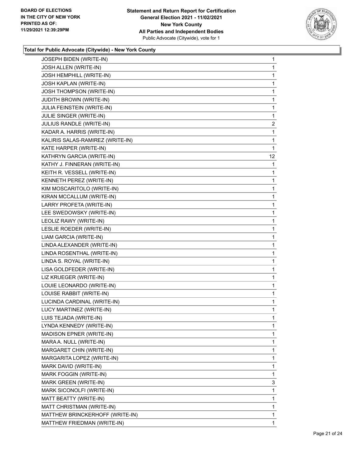

| JOSEPH BIDEN (WRITE-IN)           | $\mathbf{1}$    |
|-----------------------------------|-----------------|
| JOSH ALLEN (WRITE-IN)             | 1               |
| JOSH HEMPHILL (WRITE-IN)          | 1               |
| <b>JOSH KAPLAN (WRITE-IN)</b>     | 1               |
| <b>JOSH THOMPSON (WRITE-IN)</b>   | 1               |
| <b>JUDITH BROWN (WRITE-IN)</b>    | 1               |
| <b>JULIA FEINSTEIN (WRITE-IN)</b> | 1               |
| JULIE SINGER (WRITE-IN)           | 1               |
| JULIUS RANDLE (WRITE-IN)          | $\overline{c}$  |
| KADAR A. HARRIS (WRITE-IN)        | 1               |
| KALIRIS SALAS-RAMIREZ (WRITE-IN)  | 1               |
| KATE HARPER (WRITE-IN)            | 1               |
| KATHRYN GARCIA (WRITE-IN)         | 12 <sup>2</sup> |
| KATHY J. FINNERAN (WRITE-IN)      | 1               |
| KEITH R. VESSELL (WRITE-IN)       | 1               |
| KENNETH PEREZ (WRITE-IN)          | 1               |
| KIM MOSCARITOLO (WRITE-IN)        | 1               |
| KIRAN MCCALLUM (WRITE-IN)         | 1               |
| LARRY PROFETA (WRITE-IN)          | 1               |
| LEE SWEDOWSKY (WRITE-IN)          | 1               |
| LEOLIZ RAWY (WRITE-IN)            | 1               |
| LESLIE ROEDER (WRITE-IN)          | 1               |
| LIAM GARCIA (WRITE-IN)            | 1               |
| LINDA ALEXANDER (WRITE-IN)        | 1               |
| LINDA ROSENTHAL (WRITE-IN)        | 1               |
| LINDA S. ROYAL (WRITE-IN)         | 1               |
| LISA GOLDFEDER (WRITE-IN)         | 1               |
| LIZ KRUEGER (WRITE-IN)            | 1               |
| LOUIE LEONARDO (WRITE-IN)         | 1               |
| LOUISE RABBIT (WRITE-IN)          | 1               |
| LUCINDA CARDINAL (WRITE-IN)       | 1               |
| LUCY MARTINEZ (WRITE-IN)          | 1               |
| LUIS TEJADA (WRITE-IN)            | 1               |
| LYNDA KENNEDY (WRITE-IN)          | 1               |
| MADISON EPNER (WRITE-IN)          | 1               |
| MARA A. NULL (WRITE-IN)           | 1               |
| MARGARET CHIN (WRITE-IN)          | 1               |
| MARGARITA LOPEZ (WRITE-IN)        | 1               |
| MARK DAVID (WRITE-IN)             | 1               |
| MARK FOGGIN (WRITE-IN)            | 1               |
| MARK GREEN (WRITE-IN)             | 3               |
| MARK SICONOLFI (WRITE-IN)         | 1               |
| MATT BEATTY (WRITE-IN)            | 1               |
| MATT CHRISTMAN (WRITE-IN)         | 1               |
| MATTHEW BRINCKERHOFF (WRITE-IN)   | 1               |
| MATTHEW FRIEDMAN (WRITE-IN)       | $\mathbf{1}$    |
|                                   |                 |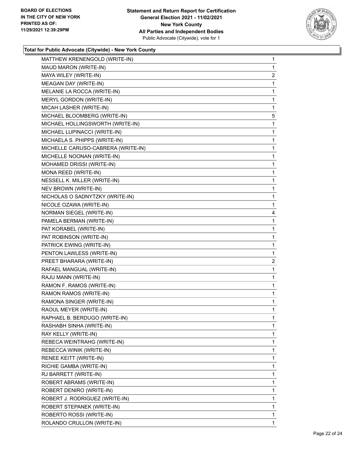

| MATTHEW KRENENGOLD (WRITE-IN)      | 1              |
|------------------------------------|----------------|
| MAUD MARON (WRITE-IN)              | 1              |
| MAYA WILEY (WRITE-IN)              | $\overline{2}$ |
| MEAGAN DAY (WRITE-IN)              | 1              |
| MELANIE LA ROCCA (WRITE-IN)        | 1              |
| MERYL GORDON (WRITE-IN)            | 1              |
| MICAH LASHER (WRITE-IN)            | 1              |
| MICHAEL BLOOMBERG (WRITE-IN)       | 5              |
| MICHAEL HOLLINGSWORTH (WRITE-IN)   | 1              |
| MICHAEL LUPINACCI (WRITE-IN)       | 1              |
| MICHAELA S. PHIPPS (WRITE-IN)      | 1              |
| MICHELLE CARUSO-CABRERA (WRITE-IN) | 1              |
| MICHELLE NOONAN (WRITE-IN)         | 1              |
| MOHAMED DRISSI (WRITE-IN)          | 1              |
| MONA REED (WRITE-IN)               | 1              |
| NESSELL K. MILLER (WRITE-IN)       | 1              |
| NEV BROWN (WRITE-IN)               | 1              |
| NICHOLAS O SADNYTZKY (WRITE-IN)    | 1              |
| NICOLE OZAWA (WRITE-IN)            | 1              |
| NORMAN SIEGEL (WRITE-IN)           | 4              |
| PAMELA BERMAN (WRITE-IN)           | 1              |
| PAT KORABEL (WRITE-IN)             | 1              |
| PAT ROBINSON (WRITE-IN)            | 1              |
| PATRICK EWING (WRITE-IN)           | 1              |
| PENTON LAWLESS (WRITE-IN)          | 1              |
| PREET BHARARA (WRITE-IN)           | $\overline{2}$ |
| RAFAEL MANGUAL (WRITE-IN)          | 1              |
| RAJU MANN (WRITE-IN)               | 1              |
| RAMON F. RAMOS (WRITE-IN)          | 1              |
| RAMON RAMOS (WRITE-IN)             | 1              |
| RAMONA SINGER (WRITE-IN)           | 1              |
| RAOUL MEYER (WRITE-IN)             | 1              |
| RAPHAEL B. BERDUGO (WRITE-IN)      | 1              |
| RASHABH SINHA (WRITE-IN)           | 1              |
| RAY KELLY (WRITE-IN)               | 1              |
| REBECA WEINTRAHG (WRITE-IN)        | 1              |
| REBECCA WINIK (WRITE-IN)           | 1              |
| RENEE KEITT (WRITE-IN)             | 1              |
| RICHIE GAMBA (WRITE-IN)            | 1              |
| RJ BARRETT (WRITE-IN)              | 1              |
| ROBERT ABRAMS (WRITE-IN)           | 1              |
| ROBERT DENIRO (WRITE-IN)           | 1              |
| ROBERT J. RODRIGUEZ (WRITE-IN)     | 1              |
| ROBERT STEPANEK (WRITE-IN)         | 1              |
| ROBERTO ROSSI (WRITE-IN)           | 1              |
| ROLANDO CRULLON (WRITE-IN)         | 1              |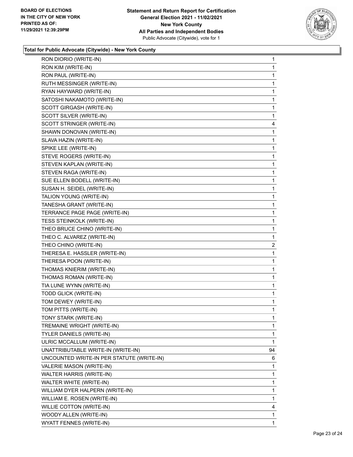

| RON DIORIO (WRITE-IN)                     | 1            |
|-------------------------------------------|--------------|
| RON KIM (WRITE-IN)                        | 1            |
| RON PAUL (WRITE-IN)                       | 1            |
| RUTH MESSINGER (WRITE-IN)                 | 1            |
| RYAN HAYWARD (WRITE-IN)                   | 1            |
| SATOSHI NAKAMOTO (WRITE-IN)               | 1            |
| SCOTT GIRGASH (WRITE-IN)                  | 1            |
| SCOTT SILVER (WRITE-IN)                   | 1            |
| SCOTT STRINGER (WRITE-IN)                 | 4            |
| SHAWN DONOVAN (WRITE-IN)                  | 1            |
| SLAVA HAZIN (WRITE-IN)                    | 1            |
| SPIKE LEE (WRITE-IN)                      | 1            |
| STEVE ROGERS (WRITE-IN)                   | 1            |
| STEVEN KAPLAN (WRITE-IN)                  | 1            |
| STEVEN RAGA (WRITE-IN)                    | 1            |
| SUE ELLEN BODELL (WRITE-IN)               | 1            |
| SUSAN H. SEIDEL (WRITE-IN)                | 1            |
| TALION YOUNG (WRITE-IN)                   | 1            |
| TANESHA GRANT (WRITE-IN)                  | 1            |
| TERRANCE PAGE PAGE (WRITE-IN)             | 1            |
| TESS STEINKOLK (WRITE-IN)                 | 1            |
| THEO BRUCE CHINO (WRITE-IN)               | 1            |
| THEO C. ALVAREZ (WRITE-IN)                | 1            |
| THEO CHINO (WRITE-IN)                     | 2            |
| THERESA E. HASSLER (WRITE-IN)             | 1            |
| THERESA POON (WRITE-IN)                   | 1            |
| THOMAS KNIERIM (WRITE-IN)                 | 1            |
| THOMAS ROMAN (WRITE-IN)                   | 1            |
| TIA LUNE WYNN (WRITE-IN)                  | $\mathbf{1}$ |
| TODD GLICK (WRITE-IN)                     | 1            |
| TOM DEWEY (WRITE-IN)                      | 1            |
| TOM PITTS (WRITE-IN)                      | 1            |
| TONY STARK (WRITE-IN)                     | 1            |
| TREMAINE WRIGHT (WRITE-IN)                | 1            |
| TYLER DANIELS (WRITE-IN)                  | 1            |
| ULRIC MCCALLUM (WRITE-IN)                 | 1            |
| UNATTRIBUTABLE WRITE-IN (WRITE-IN)        | 94           |
| UNCOUNTED WRITE-IN PER STATUTE (WRITE-IN) | 6            |
| VALERIE MASON (WRITE-IN)                  | 1            |
| WALTER HARRIS (WRITE-IN)                  | 1            |
| WALTER WHITE (WRITE-IN)                   | 1            |
| WILLIAM DYER HALPERN (WRITE-IN)           | 1            |
| WILLIAM E. ROSEN (WRITE-IN)               | 1            |
| WILLIE COTTON (WRITE-IN)                  | 4            |
| WOODY ALLEN (WRITE-IN)                    | 1            |
| WYATT FENNES (WRITE-IN)                   | 1            |